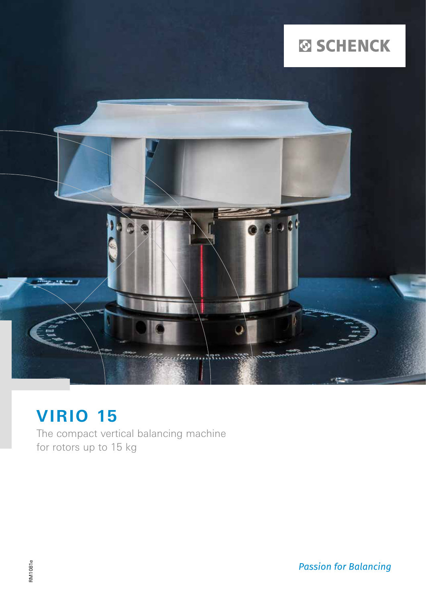# **ØSCHENCK**



## **VIRIO 15**

The compact vertical balancing machine for rotors up to 15 kg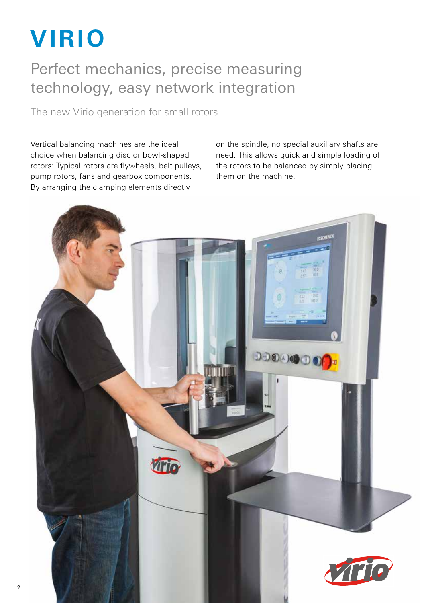# **VIRIO**

## Perfect mechanics, precise measuring technology, easy network integration

The new Virio generation for small rotors

Vertical balancing machines are the ideal choice when balancing disc or bowl-shaped rotors: Typical rotors are flywheels, belt pulleys, pump rotors, fans and gearbox components. By arranging the clamping elements directly

on the spindle, no special auxiliary shafts are need. This allows quick and simple loading of the rotors to be balanced by simply placing them on the machine.

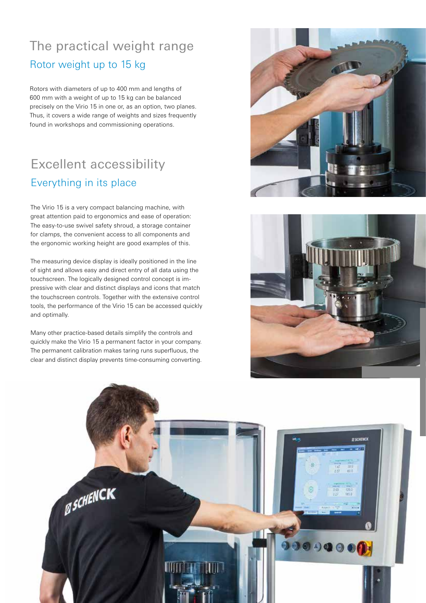## The practical weight range Rotor weight up to 15 kg

Rotors with diameters of up to 400 mm and lengths of 600 mm with a weight of up to 15 kg can be balanced precisely on the Virio 15 in one or, as an option, two planes. Thus, it covers a wide range of weights and sizes frequently found in workshops and commissioning operations.

## Excellent accessibility Everything in its place

The Virio 15 is a very compact balancing machine, with great attention paid to ergonomics and ease of operation: The easy-to-use swivel safety shroud, a storage container for clamps, the convenient access to all components and the ergonomic working height are good examples of this.

The measuring device display is ideally positioned in the line of sight and allows easy and direct entry of all data using the touchscreen. The logically designed control concept is impressive with clear and distinct displays and icons that match the touchscreen controls. Together with the extensive control tools, the performance of the Virio 15 can be accessed quickly and optimally.

Many other practice-based details simplify the controls and quickly make the Virio 15 a permanent factor in your company. The permanent calibration makes taring runs superfluous, the clear and distinct display prevents time-consuming converting.





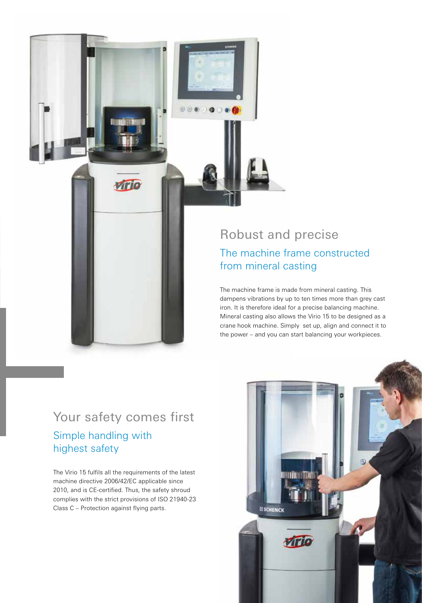

.......

The machine frame is made from mineral casting. This dampens vibrations by up to ten times more than grey cast iron. It is therefore ideal for a precise balancing machine. Mineral casting also allows the Virio 15 to be designed as a crane hook machine. Simply set up, align and connect it to the power – and you can start balancing your workpieces.

## Your safety comes first

virio

## Simple handling with highest safety

The Virio 15 fulfils all the requirements of the latest machine directive 2006/42/EC applicable since 2010, and is CE-certified. Thus, the safety shroud complies with the strict provisions of ISO 21940-23 Class C – Protection against flying parts.

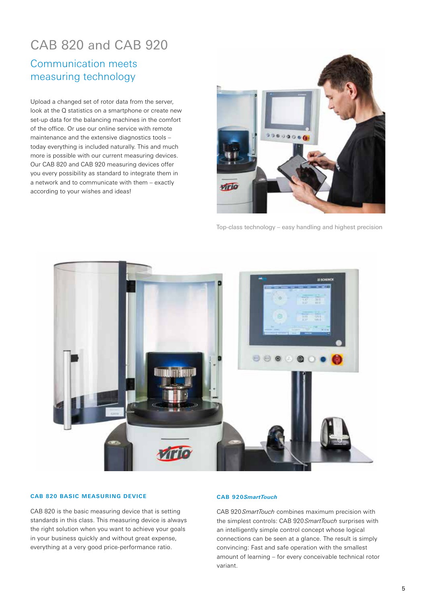## CAB 820 and CAB 920

## Communication meets measuring technology

Upload a changed set of rotor data from the server, look at the Q statistics on a smartphone or create new set-up data for the balancing machines in the comfort of the office. Or use our online service with remote maintenance and the extensive diagnostics tools – today everything is included naturally. This and much more is possible with our current measuring devices. Our CAB 820 and CAB 920 measuring devices offer you every possibility as standard to integrate them in a network and to communicate with them – exactly according to your wishes and ideas!



Top-class technology – easy handling and highest precision



#### **CAB 820 BASIC MEASURING DEVICE**

CAB 820 is the basic measuring device that is setting standards in this class. This measuring device is always the right solution when you want to achieve your goals in your business quickly and without great expense, everything at a very good price-performance ratio.

#### **CAB 920***SmartTouch*

CAB 920 *SmartTouch* combines maximum precision with the simplest controls: CAB 920 *SmartTouch* surprises with an intelligently simple control concept whose logical connections can be seen at a glance. The result is simply convincing: Fast and safe operation with the smallest amount of learning – for every conceivable technical rotor variant.